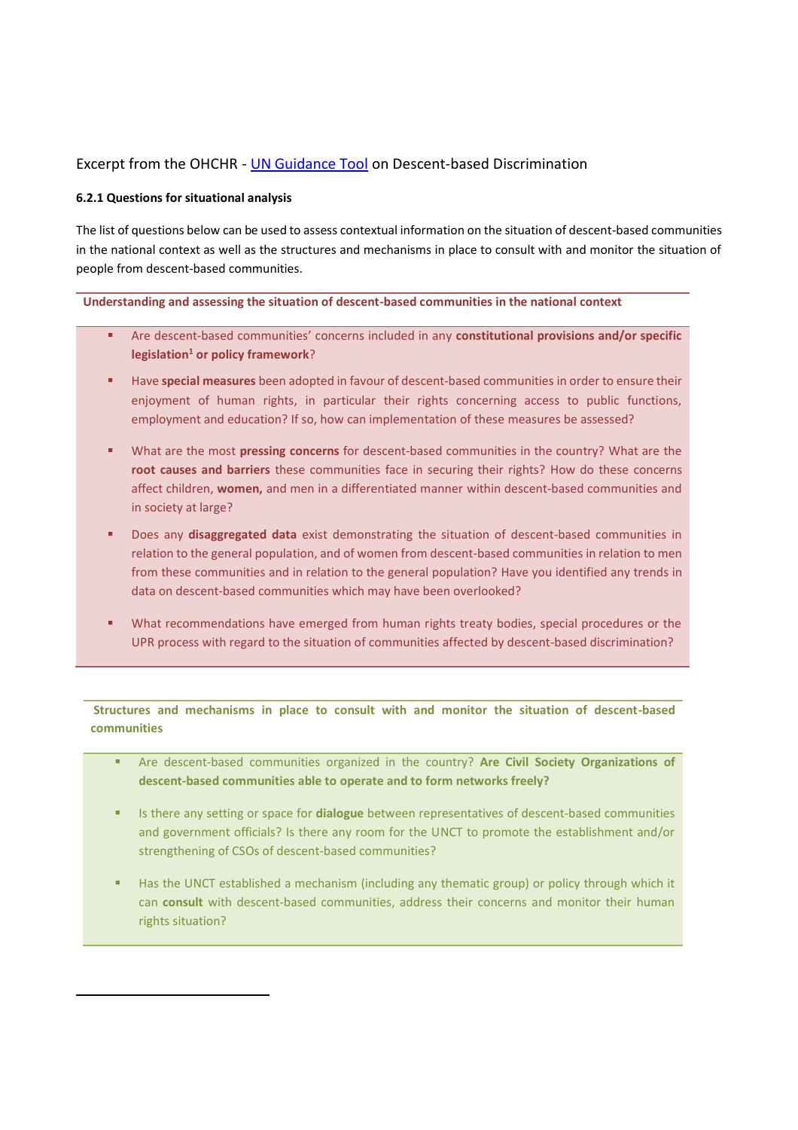## Excerpt from the OHCHR - [UN Guidance Tool](http://www.ohchr.org/EN/Issues/Minorities/Pages/MinoritiesIndex.aspx) on Descent-based Discrimination

## **6.2.1 Questions for situational analysis**

l

The list of questions below can be used to assess contextual information on the situation of descent-based communities in the national context as well as the structures and mechanisms in place to consult with and monitor the situation of people from descent-based communities.

**Understanding and assessing the situation of descent-based communities in the national context** 

- Are descent-based communities' concerns included in any **constitutional provisions and/or specific legislation<sup>1</sup> or policy framework**?
- Have **special measures** been adopted in favour of descent-based communities in order to ensure their enjoyment of human rights, in particular their rights concerning access to public functions, employment and education? If so, how can implementation of these measures be assessed?
- What are the most **pressing concerns** for descent-based communities in the country? What are the **root causes and barriers** these communities face in securing their rights? How do these concerns affect children, **women,** and men in a differentiated manner within descent-based communities and in society at large?
- Does any **disaggregated data** exist demonstrating the situation of descent-based communities in relation to the general population, and of women from descent-based communities in relation to men from these communities and in relation to the general population? Have you identified any trends in data on descent-based communities which may have been overlooked?
- What recommendations have emerged from human rights treaty bodies, special procedures or the UPR process with regard to the situation of communities affected by descent-based discrimination?

**Structures and mechanisms in place to consult with and monitor the situation of descent-based communities**

- Are descent-based communities organized in the country? **Are Civil Society Organizations of descent-based communities able to operate and to form networks freely?**
- Is there any setting or space for **dialogue** between representatives of descent-based communities and government officials? Is there any room for the UNCT to promote the establishment and/or strengthening of CSOs of descent-based communities?
- Has the UNCT established a mechanism (including any thematic group) or policy through which it can **consult** with descent-based communities, address their concerns and monitor their human rights situation?